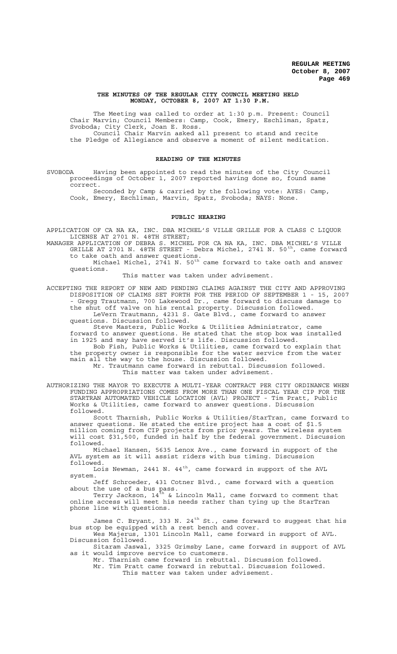#### **THE MINUTES OF THE REGULAR CITY COUNCIL MEETING HELD MONDAY, OCTOBER 8, 2007 AT 1:30 P.M.**

The Meeting was called to order at 1:30 p.m. Present: Council Chair Marvin; Council Members: Camp, Cook, Emery, Eschliman, Spatz, Svoboda; City Clerk, Joan E. Ross. Council Chair Marvin asked all present to stand and recite the Pledge of Allegiance and observe a moment of silent meditation.

#### **READING OF THE MINUTES**

SVOBODA Having been appointed to read the minutes of the City Council proceedings of October 1, 2007 reported having done so, found same correct.

Seconded by Camp & carried by the following vote: AYES: Camp, Cook, Emery, Eschliman, Marvin, Spatz, Svoboda; NAYS: None.

## **PUBLIC HEARING**

APPLICATION OF CA NA KA, INC. DBA MICHEL'S VILLE GRILLE FOR A CLASS C LIQUOR LICENSE AT 2701 N. 48TH STREET;

MANAGER APPLICATION OF DEBRA S. MICHEL FOR CA NA KA, INC. DBA MICHEL'S VILLE GRILLE AT 2701 N. 48TH STREET - Debra Michel, 2741 N. 50 $^{\rm th}$ , came forward to take oath and answer questions.

Michael Michel, 2741 N. 50<sup>th</sup> came forward to take oath and answer questions.

This matter was taken under advisement.

ACCEPTING THE REPORT OF NEW AND PENDING CLAIMS AGAINST THE CITY AND APPROVING DISPOSITION OF CLAIMS SET FORTH FOR THE PERIOD OF SEPTEMBER 1 - 15, 2007 - Gregg Trautmann, 700 Lakewood Dr., came forward to discuss damage to the shut off valve on his rental property. Discussion followed. LeVern Trautmann, 4231 S. Gate Blvd., came forward to answer questions. Discussion followed.

Steve Masters, Public Works & Utilities Administrator, came forward to answer questions. He stated that the stop box was installed in 1925 and may have served it's life. Discussion followed. Bob Fish, Public Works & Utilities, came forward to explain that the property owner is responsible for the water service from the water main all the way to the house. Discussion followed. Mr. Trautmann came forward in rebuttal. Discussion followed.

This matter was taken under advisement.

AUTHORIZING THE MAYOR TO EXECUTE A MULTI-YEAR CONTRACT PER CITY ORDINANCE WHEN FUNDING APPROPRIATIONS COMES FROM MORE THAN ONE FISCAL YEAR CIP FOR THE STARTRAN AUTOMATED VEHICLE LOCATION (AVL) PROJECT - Tim Pratt, Public Works & Utilities, came forward to answer questions. Discussion followed.

Scott Tharnish, Public Works & Utilities/StarTran, came forward to answer questions. He stated the entire project has a cost of \$1.5 million coming from CIP projects from prior years. The wireless system will cost \$31,500, funded in half by the federal government. Discussion followed.

Michael Hansen, 5635 Lenox Ave., came forward in support of the AVL system as it will assist riders with bus timing. Discussion followed.

Lois Newman, 2441 N. 44<sup>th</sup>, came forward in support of the AVL system.

Jeff Schroeder, 431 Cotner Blvd., came forward with a question about the use of a bus pass.

Terry Jackson, 14 $^{\rm th}$  & Lincoln Mall, came forward to comment that online access will meet his needs rather than tying up the StarTran phone line with questions.

James C. Bryant, 333 N. 24 $^{\rm th}$  St., came forward to suggest that his bus stop be equipped with a rest bench and cover. Wes Majerus, 1301 Lincoln Mall, came forward in support of AVL.

Discussion followed.

Sitaram Jaswal, 3325 Grimsby Lane, came forward in support of AVL as it would improve service to customers.

Mr. Tharnish came forward in rebuttal. Discussion followed. Mr. Tim Pratt came forward in rebuttal. Discussion followed. This matter was taken under advisement.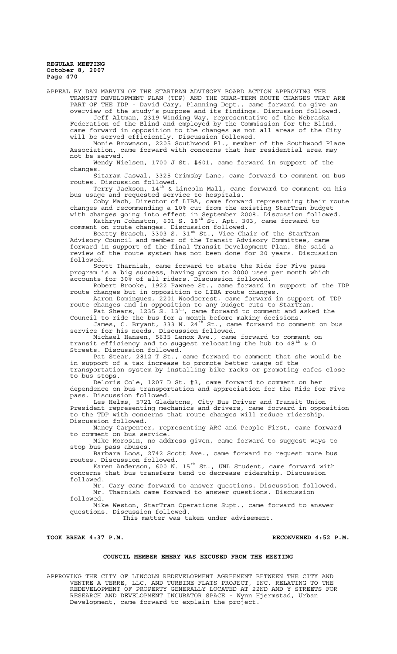APPEAL BY DAN MARVIN OF THE STARTRAN ADVISORY BOARD ACTION APPROVING THE TRANSIT DEVELOPMENT PLAN (TDP) AND THE NEAR-TERM ROUTE CHANGES THAT ARE PART OF THE TDP - David Cary, Planning Dept., came forward to give an overview of the study's purpose and its findings. Discussion followed. Jeff Altman, 2319 Winding Way, representative of the Nebraska Federation of the Blind and employed by the Commission for the Blind, came forward in opposition to the changes as not all areas of the City

will be served efficiently. Discussion followed. Monie Brownson, 2205 Southwood Pl., member of the Southwood Place

Association, came forward with concerns that her residential area may not be served.

Wendy Nielsen, 1700 J St. #601, came forward in support of the changes.

Sitaram Jaswal, 3325 Grimsby Lane, came forward to comment on bus routes. Discussion followed.

Terry Jackson, 14 $^{\rm th}$  & Lincoln Mall, came forward to comment on his bus usage and requested service to hospitals.

Coby Mach, Director of LIBA, came forward representing their route changes and recommending a 10% cut from the existing StarTran budget with changes going into effect in September 2008. Discussion followed.

Kathryn Johnston, 601 S. 18<sup>th</sup> St. Apt. 303, came forward to comment on route changes. Discussion followed.

Beatty Brasch,  $\overline{3}303$  S.  $31^\text{st}$  St., Vice Chair of the StarTran Advisory Council and member of the Transit Advisory Committee, came forward in support of the final Transit Development Plan. She said a review of the route system has not been done for 20 years. Discussion followed.

Scott Tharnish, came forward to state the Ride for Five pass program is a big success, having grown to 2000 uses per month which accounts for 30% of all riders. Discussion followed.

Robert Brooke, 1922 Pawnee St., came forward in support of the TDP route changes but in opposition to LIBA route changes.

Aaron Dominguez, 2201 Woodscrest, came forward in support of TDP route changes and in opposition to any budget cuts to StarTran. Pat Shears, 1235 S. 13<sup>th</sup>, came forward to comment and asked the

Council to ride the bus for a month before making decisions. James, C. Bryant, 333 N. 24 $^{\text{th}}$  St., came forward to comment on bus

service for his needs. Discussion followed. Michael Hansen, 5635 Lenox Ave., came forward to comment on

transit efficiency and to suggest relocating the hub to  $48^{\text{th}}$  & O Streets. Discussion followed.

Pat Stear, 2812 T St., came forward to comment that she would be in support of a tax increase to promote better usage of the transportation system by installing bike racks or promoting cafes close to bus stops.

Deloris Cole, 1207 D St. #3, came forward to comment on her dependence on bus transportation and appreciation for the Ride for Five pass. Discussion followed.

Les Helms, 5721 Gladstone, City Bus Driver and Transit Union President representing mechanics and drivers, came forward in opposition to the TDP with concerns that route changes will reduce ridership. Discussion followed.<br>Nancy Carpenter,

representing ARC and People First, came forward to comment on bus service.

Mike Morosin, no address given, came forward to suggest ways to stop bus pass abuses.<br>Barbara Loos, 2742 Scott Ave., came forward to request more bus

Barbara Loos, 2742 Scott Ave., came forward to request more bus routes. Discussion followed.

Karen Anderson, 600 N. 15<sup>th</sup> St., UNL Student, came forward with concerns that bus transfers tend to decrease ridership. Discussion followed.

Mr. Cary came forward to answer questions. Discussion followed. Mr. Tharnish came forward to answer questions. Discussion followed.

Mike Weston, StarTran Operations Supt., came forward to answer questions. Discussion followed.

This matter was taken under advisement.

TOOK BREAK 4:37 P.M. **RECONVENED 4:52 P.M.** 

## **COUNCIL MEMBER EMERY WAS EXCUSED FROM THE MEETING**

APPROVING THE CITY OF LINCOLN REDEVELOPMENT AGREEMENT BETWEEN THE CITY AND VENTRE A TERRE, LLC, AND TURBINE FLATS PROJECT, INC. RELATING TO THE REDEVELOPMENT OF PROPERTY GENERALLY LOCATED AT 22ND AND Y STREETS FOR RESEARCH AND DEVELOPMENT INCUBATOR SPACE - Wynn Hjermstad, Urban Development, came forward to explain the project.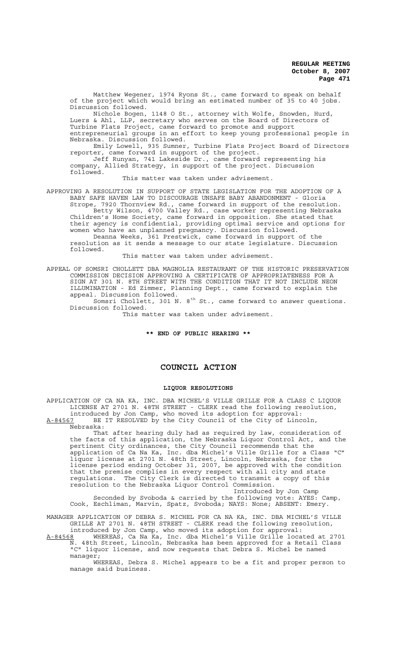Matthew Wegener, 1974 Ryons St., came forward to speak on behalf of the project which would bring an estimated number of 35 to 40 jobs. Discussion followed.

Nichole Bogen, 1148 O St., attorney with Wolfe, Snowden, Hurd, Luers & Ahl, LLP, secretary who serves on the Board of Directors of Turbine Flats Project, came forward to promote and support entrepreneurial groups in an effort to keep young professional people in Nebraska. Discussion followed.

Emily Lowell, 935 Sumner, Turbine Flats Project Board of Directors reporter, came forward in support of the project.

Jeff Runyan, 741 Lakeside Dr., came forward representing his company, Allied Strategy, in support of the project. Discussion followed.

This matter was taken under advisement.

APPROVING A RESOLUTION IN SUPPORT OF STATE LEGISLATION FOR THE ADOPTION OF A BABY SAFE HAVEN LAW TO DISCOURAGE UNSAFE BABY ABANDONMENT - Gloria Strope, 7920 Thornview Rd., came forward in support of the resolution.

Betty Wilson, 4700 Valley Rd., case worker representing Nebraska Children's Home Society, came forward in opposition. She stated that their agency is confidential, providing optimal service and options for women who have an unplanned pregnancy. Discussion followed.

Deanna Weeks, 361 Prestwick, came forward in support of the resolution as it sends a message to our state legislature. Discussion followed.

This matter was taken under advisement.

APPEAL OF SOMSRI CHOLLETT DBA MAGNOLIA RESTAURANT OF THE HISTORIC PRESERVATION COMMISSION DECISION APPROVING A CERTIFICATE OF APPROPRIATENESS FOR A SIGN AT 301 N. 8TH STREET WITH THE CONDITION THAT IT NOT INCLUDE NEON ILLUMINATION - Ed Zimmer, Planning Dept., came forward to explain the appeal. Discussion followed.

Somsri Chollett, 301 N.  $8^{th}$  St., came forward to answer questions. Discussion followed.

This matter was taken under advisement.

## **\*\* END OF PUBLIC HEARING \*\***

## **COUNCIL ACTION**

## **LIQUOR RESOLUTIONS**

APPLICATION OF CA NA KA, INC. DBA MICHEL'S VILLE GRILLE FOR A CLASS C LIQUOR LICENSE AT 2701 N. 48TH STREET - CLERK read the following resolution, introduced by Jon Camp, who moved its adoption for approval: A-84567 BE IT RESOLVED by the City Council of the City of Lincoln,

Nebraska: That after hearing duly had as required by law, consideration of the facts of this application, the Nebraska Liquor Control Act, and the pertinent City ordinances, the City Council recommends that the application of Ca Na Ka, Inc. dba Michel's Ville Grille for a Class "C" liquor license at 2701 N. 48th Street, Lincoln, Nebraska, for the license period ending October 31, 2007, be approved with the condition that the premise complies in every respect with all city and state regulations. The City Clerk is directed to transmit a copy of this resolution to the Nebraska Liquor Control Commission.

Introduced by Jon Camp Seconded by Svoboda & carried by the following vote: AYES: Camp, Cook, Eschliman, Marvin, Spatz, Svoboda; NAYS: None; ABSENT: Emery.

MANAGER APPLICATION OF DEBRA S. MICHEL FOR CA NA KA, INC. DBA MICHEL'S VILLE GRILLE AT 2701 N. 48TH STREET - CLERK read the following resolution, introduced by Jon Camp, who moved its adoption for approval:

A-84568 WHEREAS, Ca Na Ka, Inc. dba Michel's Ville Grille located at 2701 N. 48th Street, Lincoln, Nebraska has been approved for a Retail Class "C" liquor license, and now requests that Debra S. Michel be named manager;

WHEREAS, Debra S. Michel appears to be a fit and proper person to manage said business.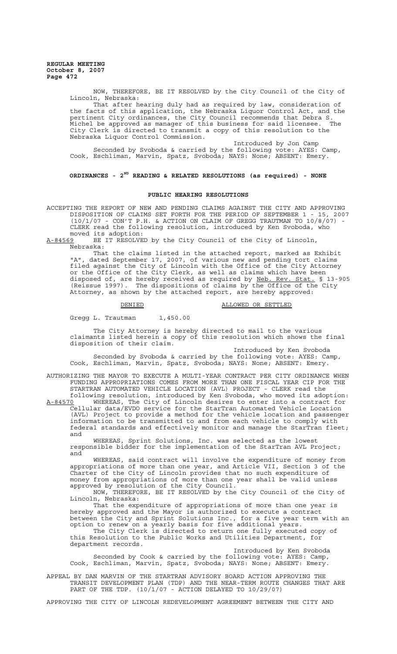> NOW, THEREFORE, BE IT RESOLVED by the City Council of the City of Lincoln, Nebraska: That after hearing duly had as required by law, consideration of

> the facts of this application, the Nebraska Liquor Control Act, and the pertinent City ordinances, the City Council recommends that Debra S.<br>Michel be approved as manager of this business for said licensee. The  $\overline{\text{Michel}}$  be approved as manager of this business for said licensee. City Clerk is directed to transmit a copy of this resolution to the Nebraska Liquor Control Commission.

Introduced by Jon Camp Seconded by Svoboda & carried by the following vote: AYES: Camp, Cook, Eschliman, Marvin, Spatz, Svoboda; NAYS: None, ABSENT: Emery.

# **ORDINANCES - 2ND READING & RELATED RESOLUTIONS (as required) - NONE**

### **PUBLIC HEARING RESOLUTIONS**

ACCEPTING THE REPORT OF NEW AND PENDING CLAIMS AGAINST THE CITY AND APPROVING DISPOSITION OF CLAIMS SET FORTH FOR THE PERIOD OF SEPTEMBER 1 - 15, 2007  $(10/1/07$  - CON'T P.H. & ACTION ON CLAIM OF GREGG TRAUTMAN TO  $10/8/07$ ) -CLERK read the following resolution, introduced by Ken Svoboda, who moved its adoption:<br>A-84569 BE IT RESOLVE

BE IT RESOLVED by the City Council of the City of Lincoln, Nebraska:

That the claims listed in the attached report, marked as Exhibit "A", dated September 17, 2007, of various new and pending tort claims filed against the City of Lincoln with the Office of the City Attorney or the Office of the City Clerk, as well as claims which have been disposed of, are hereby received as required by Neb. Rev. Stat. § 13-905 (Reissue 1997). The dispositions of claims by the Office of the City Attorney, as shown by the attached report, are hereby approved:

#### DENIED ALLOWED OR SETTLED

Gregg L. Trautman 1,450.00

The City Attorney is hereby directed to mail to the various claimants listed herein a copy of this resolution which shows the final disposition of their claim.

Introduced by Ken Svoboda Seconded by Svoboda & carried by the following vote: AYES: Camp, Cook, Eschliman, Marvin, Spatz, Svoboda; NAYS: None; ABSENT: Emery.

AUTHORIZING THE MAYOR TO EXECUTE A MULTI-YEAR CONTRACT PER CITY ORDINANCE WHEN FUNDING APPROPRIATIONS COMES FROM MORE THAN ONE FISCAL YEAR CIP FOR THE STARTRAN AUTOMATED VEHICLE LOCATION (AVL) PROJECT - CLERK read the following resolution, introduced by Ken Svoboda, who moved its adoption:

A-84570 WHEREAS, The City of Lincoln desires to enter into a contract for Cellular data/EVDO service for the StarTran Automated Vehicle Location (AVL) Project to provide a method for the vehicle location and passenger information to be transmitted to and from each vehicle to comply with federal standards and effectively monitor and manage the StarTran fleet; and

WHEREAS, Sprint Solutions, Inc. was selected as the lowest responsible bidder for the implementation of the StarTran AVL Project; and

WHEREAS, said contract will involve the expenditure of money from appropriations of more than one year, and Article VII, Section 3 of the Charter of the City of Lincoln provides that no such expenditure of money from appropriations of more than one year shall be valid unless approved by resolution of the City Council.

NOW, THEREFORE, BE IT RESOLVED by the City Council of the City of Lincoln, Nebraska:

That the expenditure of appropriations of more than one year is hereby approved and the Mayor is authorized to execute a contract between the City and Sprint Solutions Inc., for a five year term with an option to renew on a yearly basis for five additional years.

The City Clerk is directed to return one fully executed copy of this Resolution to the Public Works and Utilities Department, for department records.

Introduced by Ken Svoboda Seconded by Cook & carried by the following vote: AYES: Camp, Cook, Eschliman, Marvin, Spatz, Svoboda; NAYS: None; ABSENT: Emery.

APPEAL BY DAN MARVIN OF THE STARTRAN ADVISORY BOARD ACTION APPROVING THE TRANSIT DEVELOPMENT PLAN (TDP) AND THE NEAR-TERM ROUTE CHANGES THAT ARE PART OF THE TDP. (10/1/07 - ACTION DELAYED TO 10/29/07)

APPROVING THE CITY OF LINCOLN REDEVELOPMENT AGREEMENT BETWEEN THE CITY AND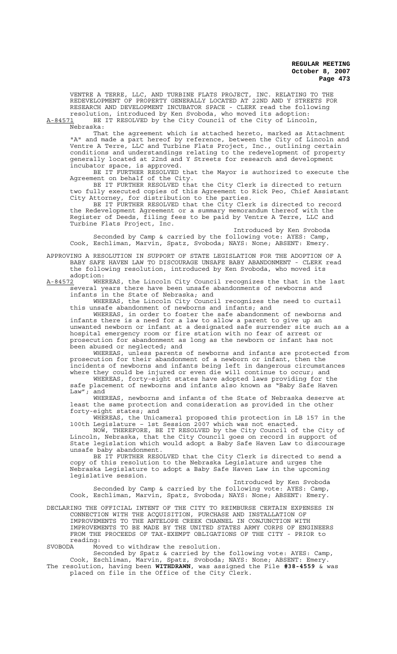VENTRE A TERRE, LLC, AND TURBINE FLATS PROJECT, INC. RELATING TO THE REDEVELOPMENT OF PROPERTY GENERALLY LOCATED AT 22ND AND Y STREETS FOR RESEARCH AND DEVELOPMENT INCUBATOR SPACE - CLERK read the following resolution, introduced by Ken Svoboda, who moved its adoption:

A-84571 BE IT RESOLVED by the City Council of the City of Lincoln,  $A-84571$  BE<br>Nebraska:

That the agreement which is attached hereto, marked as Attachment "A" and made a part hereof by reference, between the City of Lincoln and Ventre A Terre, LLC and Turbine Flats Project, Inc., outlining certain conditions and understandings relating to the redevelopment of property generally located at 22nd and Y Streets for research and development incubator space, is approved.

BE IT FURTHER RESOLVED that the Mayor is authorized to execute the Agreement on behalf of the City.

BE IT FURTHER RESOLVED that the City Clerk is directed to return two fully executed copies of this Agreement to Rick Peo, Chief Assistant City Attorney, for distribution to the parties.

BE IT FURTHER RESOLVED that the City Clerk is directed to record the Redevelopment Agreement or a summary memorandum thereof with the Register of Deeds, filing fees to be paid by Ventre A Terre, LLC and Turbine Flats Project, Inc.

Introduced by Ken Svoboda Seconded by Camp & carried by the following vote: AYES: Camp, Cook, Eschliman, Marvin, Spatz, Svoboda; NAYS: None; ABSENT: Emery.

APPROVING A RESOLUTION IN SUPPORT OF STATE LEGISLATION FOR THE ADOPTION OF A BABY SAFE HAVEN LAW TO DISCOURAGE UNSAFE BABY ABANDONMENT - CLERK read the following resolution, introduced by Ken Svoboda, who moved its adoption:

A-84572 WHEREAS, the Lincoln City Council recognizes the that in the last several years there have been unsafe abandonments of newborns and infants in the State of Nebraska; and

WHEREAS, the Lincoln City Council recognizes the need to curtail this unsafe abandonment of newborns and infants; and

WHEREAS, in order to foster the safe abandonment of newborns and infants there is a need for a law to allow a parent to give up an unwanted newborn or infant at a designated safe surrender site such as a hospital emergency room or fire station with no fear of arrest or prosecution for abandonment as long as the newborn or infant has not been abused or neglected; and

WHEREAS, unless parents of newborns and infants are protected from prosecution for their abandonment of a newborn or infant, then the incidents of newborns and infants being left in dangerous circumstances where they could be injured or even die will continue to occur; and

WHEREAS, forty-eight states have adopted laws providing for the safe placement of newborns and infants also known as "Baby Safe Haven Law"; and

WHEREAS, newborns and infants of the State of Nebraska deserve at least the same protection and consideration as provided in the other forty-eight states; and

WHEREAS, the Unicameral proposed this protection in LB 157 in the 100th Legislature – 1st Session 2007 which was not enacted.

NOW, THEREFORE, BE IT RESOLVED by the City Council of the City of Lincoln, Nebraska, that the City Council goes on record in support of State legislation which would adopt a Baby Safe Haven Law to discourage unsafe baby abandonment.

BE IT FURTHER RESOLVED that the City Clerk is directed to send a copy of this resolution to the Nebraska Legislature and urges the Nebraska Legislature to adopt a Baby Safe Haven Law in the upcoming legislative session.

Introduced by Ken Svoboda Seconded by Camp & carried by the following vote: AYES: Camp, Cook, Eschliman, Marvin, Spatz, Svoboda; NAYS: None; ABSENT: Emery.

DECLARING THE OFFICIAL INTENT OF THE CITY TO REIMBURSE CERTAIN EXPENSES IN CONNECTION WITH THE ACQUISITION, PURCHASE AND INSTALLATION OF IMPROVEMENTS TO THE ANTELOPE CREEK CHANNEL IN CONJUNCTION WITH IMPROVEMENTS TO BE MADE BY THE UNITED STATES ARMY CORPS OF ENGINEERS FROM THE PROCEEDS OF TAX-EXEMPT OBLIGATIONS OF THE CITY - PRIOR to reading:<br>SVOBODA Mo

Moved to withdraw the resolution.

Seconded by Spatz & carried by the following vote: AYES: Camp, Cook, Eschliman, Marvin, Spatz, Svoboda; NAYS: None; ABSENT: Emery. The resolution, having been **WITHDRAWN**, was assigned the File **#38-4559** & was placed on file in the Office of the City Clerk.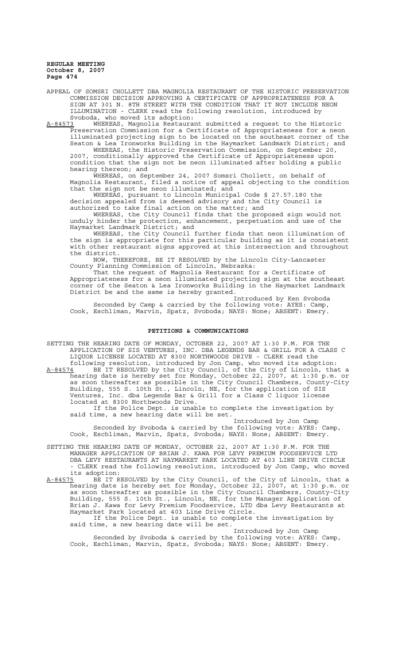APPEAL OF SOMSRI CHOLLETT DBA MAGNOLIA RESTAURANT OF THE HISTORIC PRESERVATION COMMISSION DECISION APPROVING A CERTIFICATE OF APPROPRIATENESS FOR A SIGN AT 301 N. 8TH STREET WITH THE CONDITION THAT IT NOT INCLUDE NEON ILLUMINATION - CLERK read the following resolution, introduced by Svoboda, who moved its adoption:<br>A-84573 WHEREAS, Magnolia Restaura

WHEREAS, Magnolia Restaurant submitted a request to the Historic Preservation Commission for a Certificate of Appropriateness for a neon illuminated projecting sign to be located on the southeast corner of the Seaton & Lea Ironworks Building in the Haymarket Landmark District; and WHEREAS, the Historic Preservation Commission, on September 20, 2007, conditionally approved the Certificate of Appropriateness upon condition that the sign not be neon illuminated after holding a public hearing thereon; and

WHEREAS, on September 24, 2007 Somsri Chollett, on behalf of Magnolia Restaurant, filed a notice of appeal objecting to the condition that the sign not be neon illuminated; and

WHEREAS, pursuant to Lincoln Municipal Code § 27.57.180 the decision appealed from is deemed advisory and the City Council is authorized to take final action on the matter; and

WHEREAS, the City Council finds that the proposed sign would not unduly hinder the protection, enhancement, perpetuation and use of the Haymarket Landmark District; and

WHEREAS, the City Council further finds that neon illumination of the sign is appropriate for this particular building as it is consistent with other restaurant signs approved at this intersection and throughout the district.

NOW, THEREFORE, BE IT RESOLVED by the Lincoln City-Lancaster County Planning Commission of Lincoln, Nebraska:

That the request of Magnolia Restaurant for a Certificate of Appropriateness for a neon illuminated projecting sign at the southeast corner of the Seaton & Lea Ironworks Building in the Haymarket Landmark District be and the same is hereby granted.

Introduced by Ken Svoboda Seconded by Camp & carried by the following vote: AYES: Camp, Cook, Eschliman, Marvin, Spatz, Svoboda; NAYS: None; ABSENT: Emery.

#### **PETITIONS & COMMUNICATIONS**

SETTING THE HEARING DATE OF MONDAY, OCTOBER 22, 2007 AT 1:30 P.M. FOR THE APPLICATION OF SIS VENTURES, INC. DBA LEGENDS BAR & GRILL FOR A CLASS C LIQUOR LICENSE LOCATED AT 8300 NORTHWOODS DRIVE - CLERK read the following resolution, introduced by Jon Camp, who moved its adoption:

A-84574 BE IT RESOLVED by the City Council, of the City of Lincoln, that a hearing date is hereby set for Monday, October 22, 2007, at 1:30 p.m. or as soon thereafter as possible in the City Council Chambers, County-City Building, 555 S. 10th St., Lincoln, NE, for the application of SIS Ventures, Inc. dba Legends Bar & Grill for a Class C liquor license located at 8300 Northwoods Drive.

If the Police Dept. is unable to complete the investigation by said time, a new hearing date will be set.

Introduced by Jon Camp Seconded by Svoboda & carried by the following vote: AYES: Camp, Cook, Eschliman, Marvin, Spatz, Svoboda; NAYS: None; ABSENT: Emery.

SETTING THE HEARING DATE OF MONDAY, OCTOBER 22, 2007 AT 1:30 P.M. FOR THE MANAGER APPLICATION OF BRIAN J. KAWA FOR LEVY PREMIUM FOODSERVICE LTD DBA LEVY RESTAURANTS AT HAYMARKET PARK LOCATED AT 403 LINE DRIVE CIRCLE - CLERK read the following resolution, introduced by Jon Camp, who moved its adoption:<br>A-84575 BE IT R

BE IT RESOLVED by the City Council, of the City of Lincoln, that a hearing date is hereby set for Monday, October 22, 2007, at 1:30 p.m. or as soon thereafter as possible in the City Council Chambers, County-City Building, 555 S. 10th St., Lincoln, NE, for the Manager Application of Brian J. Kawa for Levy Premium Foodservice, LTD dba Levy Restaurants at Haymarket Park located at 403 Line Drive Circle. If the Police Dept. is unable to complete the investigation by

said time, a new hearing date will be set. Introduced by Jon Camp

Seconded by Svoboda & carried by the following vote: AYES: Camp, Cook, Eschliman, Marvin, Spatz, Svoboda; NAYS: None; ABSENT: Emery.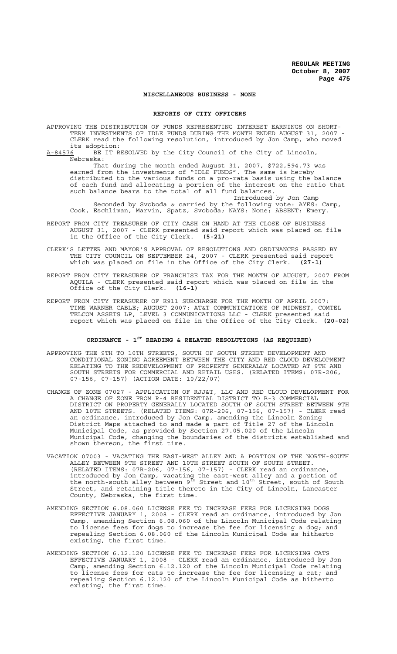## **MISCELLANEOUS BUSINESS - NONE**

#### **REPORTS OF CITY OFFICERS**

APPROVING THE DISTRIBUTION OF FUNDS REPRESENTING INTEREST EARNINGS ON SHORT-TERM INVESTMENTS OF IDLE FUNDS DURING THE MONTH ENDED AUGUST 31, 2007 - CLERK read the following resolution, introduced by Jon Camp, who moved its adoption:<br><u>A-84576</u> BE IT R

BE IT RESOLVED by the City Council of the City of Lincoln, Nebraska:

That during the month ended August 31, 2007, \$722,594.73 was earned from the investments of "IDLE FUNDS". The same is hereby distributed to the various funds on a pro-rata basis using the balance of each fund and allocating a portion of the interest on the ratio that such balance bears to the total of all fund balances. Introduced by Jon Camp

Seconded by Svoboda & carried by the following vote: AYES: Camp, Cook, Eschliman, Marvin, Spatz, Svoboda; NAYS: None; ABSENT: Emery.

- REPORT FROM CITY TREASURER OF CITY CASH ON HAND AT THE CLOSE OF BUSINESS AUGUST 31, 2007 - CLERK presented said report which was placed on file in the Office of the City Clerk. **(5-21)**
- CLERK'S LETTER AND MAYOR'S APPROVAL OF RESOLUTIONS AND ORDINANCES PASSED BY THE CITY COUNCIL ON SEPTEMBER 24, 2007 - CLERK presented said report which was placed on file in the Office of the City Clerk. **(27-1)**
- REPORT FROM CITY TREASURER OF FRANCHISE TAX FOR THE MONTH OF AUGUST, 2007 FROM AQUILA - CLERK presented said report which was placed on file in the Office of the City Clerk. **(16-1)**
- REPORT FROM CITY TREASURER OF E911 SURCHARGE FOR THE MONTH OF APRIL 2007: TIME WARNER CABLE; AUGUST 2007: AT&T COMMUNICATIONS OF MIDWEST, COMTEL TELCOM ASSETS LP, LEVEL 3 COMMUNICATIONS LLC - CLERK presented said report which was placed on file in the Office of the City Clerk. **(20-02)**

# **ORDINANCE - 1ST READING & RELATED RESOLUTIONS (AS REQUIRED)**

- APPROVING THE 9TH TO 10TH STREETS, SOUTH OF SOUTH STREET DEVELOPMENT AND CONDITIONAL ZONING AGREEMENT BETWEEN THE CITY AND RED CLOUD DEVELOPMENT RELATING TO THE REDEVELOPMENT OF PROPERTY GENERALLY LOCATED AT 9TH AND SOUTH STREETS FOR COMMERCIAL AND RETAIL USES. (RELATED ITEMS: 07R-206, 07-156, 07-157) (ACTION DATE: 10/22/07)
- CHANGE OF ZONE 07027 APPLICATION OF RJJ&T, LLC AND RED CLOUD DEVELOPMENT FOR A CHANGE OF ZONE FROM R-4 RESIDENTIAL DISTRICT TO B-3 COMMERCIAL DISTRICT ON PROPERTY GENERALLY LOCATED SOUTH OF SOUTH STREET BETWEEN 9TH AND 10TH STREETS. (RELATED ITEMS: 07R-206, 07-156, 07-157) - CLERK read an ordinance, introduced by Jon Camp, amending the Lincoln Zoning District Maps attached to and made a part of Title 27 of the Lincoln Municipal Code, as provided by Section 27.05.020 of the Lincoln Municipal Code, changing the boundaries of the districts established and shown thereon, the first time.
- VACATION 07003 VACATING THE EAST-WEST ALLEY AND A PORTION OF THE NORTH-SOUTH ALLEY BETWEEN 9TH STREET AND 10TH STREET SOUTH OF SOUTH STREET. (RELATED ITEMS: 07R-206, 07-156, 07-157) - CLERK read an ordinance, introduced by Jon Camp, vacating the east-west alley and a portion of the north-south alley between  $9^{\text{th}}$  Street and  $10^{\text{th}}$  Street, south of South Street, and retaining title thereto in the City of Lincoln, Lancaster County, Nebraska, the first time.
- AMENDING SECTION 6.08.060 LICENSE FEE TO INCREASE FEES FOR LICENSING DOGS EFFECTIVE JANUARY 1, 2008 - CLERK read an ordinance, introduced by Jon Camp, amending Section 6.08.060 of the Lincoln Municipal Code relating to license fees for dogs to increase the fee for licensing a dog; and repealing Section 6.08.060 of the Lincoln Municipal Code as hitherto existing, the first time.
- AMENDING SECTION 6.12.120 LICENSE FEE TO INCREASE FEES FOR LICENSING CATS EFFECTIVE JANUARY 1, 2008 - CLERK read an ordinance, introduced by Jon Camp, amending Section 6.12.120 of the Lincoln Municipal Code relating to license fees for cats to increase the fee for licensing a cat; and repealing Section 6.12.120 of the Lincoln Municipal Code as hitherto existing, the first time.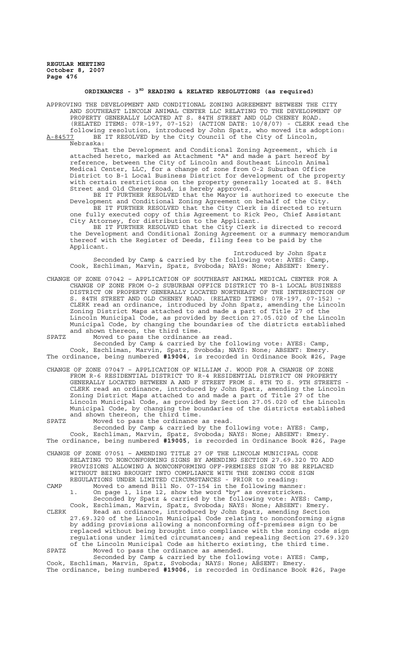## **ORDINANCES - 3RD READING & RELATED RESOLUTIONS (as required)**

APPROVING THE DEVELOPMENT AND CONDITIONAL ZONING AGREEMENT BETWEEN THE CITY AND SOUTHEAST LINCOLN ANIMAL CENTER LLC RELATING TO THE DEVELOPMENT OF PROPERTY GENERALLY LOCATED AT S. 84TH STREET AND OLD CHENEY ROAD. (RELATED ITEMS: 07R-197, 07-152) (ACTION DATE: 10/8/07) - CLERK read the following resolution, introduced by John Spatz, who moved its adoption:

A-84577 BE IT RESOLVED by the City Council of the City of Lincoln, Nebraska:

That the Development and Conditional Zoning Agreement, which is attached hereto, marked as Attachment "A" and made a part hereof by reference, between the City of Lincoln and Southeast Lincoln Animal Medical Center, LLC, for a change of zone from O-2 Suburban Office District to B-1 Local Business District for development of the property with certain restrictions on the property generally located at S. 84th Street and Old Cheney Road, is hereby approved.

BE IT FURTHER RESOLVED that the Mayor is authorized to execute the Development and Conditional Zoning Agreement on behalf of the City. BE IT FURTHER RESOLVED that the City Clerk is directed to return one fully executed copy of this Agreement to Rick Peo, Chief Assistant

City Attorney, for distribution to the Applicant. BE IT FURTHER RESOLVED that the City Clerk is directed to record the Development and Conditional Zoning Agreement or a summary memorandum thereof with the Register of Deeds, filing fees to be paid by the Applicant.

Introduced by John Spatz Seconded by Camp & carried by the following vote: AYES: Camp, Cook, Eschliman, Marvin, Spatz, Svoboda; NAYS: None; ABSENT: Emery.

CHANGE OF ZONE 07042 – APPLICATION OF SOUTHEAST ANIMAL MEDICAL CENTER FOR A CHANGE OF ZONE FROM O-2 SUBURBAN OFFICE DISTRICT TO B-1 LOCAL BUSINESS DISTRICT ON PROPERTY GENERALLY LOCATED NORTHEAST OF THE INTERSECTION OF S. 84TH STREET AND OLD CHENEY ROAD. (RELATED ITEMS: 07R-197, 07-152) CLERK read an ordinance, introduced by John Spatz, amending the Lincoln Zoning District Maps attached to and made a part of Title 27 of the Lincoln Municipal Code, as provided by Section 27.05.020 of the Lincoln Municipal Code, by changing the boundaries of the districts established and shown thereon, the third time.

SPATZ Moved to pass the ordinance as read.

Seconded by Camp & carried by the following vote: AYES: Camp, Cook, Eschliman, Marvin, Spatz, Svoboda; NAYS: None; ABSENT: Emery. The ordinance, being numbered **#19004**, is recorded in Ordinance Book #26, Page

CHANGE OF ZONE 07047 – APPLICATION OF WILLIAM J. WOOD FOR A CHANGE OF ZONE FROM R-6 RESIDENTIAL DISTRICT TO R-4 RESIDENTIAL DISTRICT ON PROPERTY GENERALLY LOCATED BETWEEN A AND F STREET FROM S. 8TH TO S. 9TH STREETS - CLERK read an ordinance, introduced by John Spatz, amending the Lincoln Zoning District Maps attached to and made a part of Title 27 of the Lincoln Municipal Code, as provided by Section 27.05.020 of the Lincoln Municipal Code, by changing the boundaries of the districts established and shown thereon, the third time.

SPATZ Moved to pass the ordinance as read.

Seconded by Camp & carried by the following vote: AYES: Camp, Cook, Eschliman, Marvin, Spatz, Svoboda; NAYS: None; ABSENT: Emery. The ordinance, being numbered **#19005**, is recorded in Ordinance Book #26, Page

CHANGE OF ZONE 07051 – AMENDING TITLE 27 OF THE LINCOLN MUNICIPAL CODE RELATING TO NONCONFORMING SIGNS BY AMENDING SECTION 27.69.320 TO ADD PROVISIONS ALLOWING A NONCONFORMING OFF-PREMISES SIGN TO BE REPLACED WITHOUT BEING BROUGHT INTO COMPLIANCE WITH THE ZONING CODE SIGN REGULATIONS UNDER LIMITED CIRCUMSTANCES - PRIOR to reading:

CAMP Moved to amend Bill No. 07-154 in the following manner:<br>1. On page 1, line 12, show the word "by" as overstricken. On page 1, line 12, show the word "by" as overstricken. Seconded by Spatz & carried by the following vote: AYES: Camp,

Cook, Eschliman, Marvin, Spatz, Svoboda; NAYS: None; ABSENT: Emery. CLERK Read an ordinance, introduced by John Spatz, amending Section 27.69.320 of the Lincoln Municipal Code relating to nonconforming signs by adding provisions allowing a nonconforming off-premises sign to be replaced without being brought into compliance with the zoning code sign regulations under limited circumstances; and repealing Section 27.69.320 of the Lincoln Municipal Code as hitherto existing, the third time. SPATZ Moved to pass the ordinance as amended.

Seconded by Camp & carried by the following vote: AYES: Camp, Cook, Eschliman, Marvin, Spatz, Svoboda; NAYS: None; ABSENT: Emery. The ordinance, being numbered **#19006**, is recorded in Ordinance Book #26, Page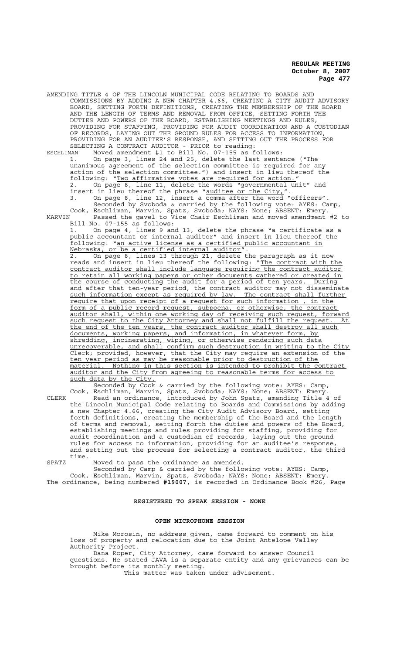AMENDING TITLE 4 OF THE LINCOLN MUNICIPAL CODE RELATING TO BOARDS AND COMMISSIONS BY ADDING A NEW CHAPTER 4.66, CREATING A CITY AUDIT ADVISORY BOARD, SETTING FORTH DEFINITIONS, CREATING THE MEMBERSHIP OF THE BOARD AND THE LENGTH OF TERMS AND REMOVAL FROM OFFICE, SETTING FORTH THE DUTIES AND POWERS OF THE BOARD, ESTABLISHING MEETINGS AND RULES, PROVIDING FOR STAFFING, PROVIDING FOR AUDIT COORDINATION AND A CUSTODIAN OF RECORDS, LAYING OUT THE GROUND RULES FOR ACCESS TO INFORMATION, PROVIDING FOR AN AUDITEE'S RESPONSE, AND SETTING OUT THE PROCESS FOR SELECTING A CONTRACT AUDITOR - PRIOR to reading:

ESCHLIMAN Moved amendment #1 to Bill No. 07-155 as follows: 1. On page 3, lines 24 and 25, delete the last sentence ("The unanimous agreement of the selection committee is required for any action of the selection committee.") and insert in lieu thereof the following: "Two affirmative votes are required for action." 2. On page 8, line 11, delete the words "governmental unit" and insert in lieu thereof the phrase "auditee or the City,"

3. On page 8, line 12, insert a comma after the word "officers". Seconded by Svoboda & carried by the following vote: AYES: Camp, Cook, Eschliman, Marvin, Spatz, Svoboda; NAYS: None; ABSENT: Emery. MARVIN Passed the gavel to Vice Chair Eschliman and moved amendment #2 to Bill No. 07-155 as follows:

1. On page 4, lines 9 and 13, delete the phrase "a certificate as a public accountant or internal auditor" and insert in lieu thereof the following: "an active license as a certified public accountant in Nebraska, or be a certified internal auditor".

2. On page 8, lines 13 through 21, delete the paragraph as it now reads and insert in lieu thereof the following: "The contract with the contract auditor shall include language requiring the contract auditor to retain all working papers or other documents gathered or created in the course of conducting the audit for a period of ten years. During and after that ten-year period, the contract auditor may not disseminate such information except as required by law. The contract shall further require that upon receipt of a request for such information, in the form of a public record request, subpoena, or otherwise, the contract auditor shall, within one working day of receiving such request, forward such request to the City Attorney and shall not fulfill the request. At the end of the ten years, the contract auditor shall destroy all such documents, working papers, and information, in whatever form, by shredding, incinerating, wiping, or otherwise rendering such data unrecoverable, and shall confirm such destruction in writing to the City Clerk; provided, however, that the City may require an extension of the ten year period as may be reasonable prior to destruction of the material. Nothing in this section is intended to prohibit the contract auditor and the City from agreeing to reasonable terms for access to such data by the City.

Seconded by Cook & carried by the following vote: AYES: Camp, Cook, Eschliman, Marvin, Spatz, Svoboda; NAYS: None; ABSENT: Emery. CLERK Read an ordinance, introduced by John Spatz, amending Title 4 of the Lincoln Municipal Code relating to Boards and Commissions by adding a new Chapter 4.66, creating the City Audit Advisory Board, setting forth definitions, creating the membership of the Board and the length of terms and removal, setting forth the duties and powers of the Board, establishing meetings and rules providing for staffing, providing for audit coordination and a custodian of records, laying out the ground rules for access to information, providing for an auditee's response, and setting out the process for selecting a contract auditor, the third time.

SPATZ Moved to pass the ordinance as amended.

Seconded by Camp & carried by the following vote: AYES: Camp, Cook, Eschliman, Marvin, Spatz, Svoboda; NAYS: None; ABSENT: Emery. The ordinance, being numbered **#19007**, is recorded in Ordinance Book #26, Page

## **REGISTERED TO SPEAK SESSION - NONE**

#### **OPEN MICROPHONE SESSION**

Mike Morosin, no address given, came forward to comment on his loss of property and relocation due to the Joint Antelope Valley Authority Project.

Dana Roper, City Attorney, came forward to answer Council questions. He stated JAVA is a separate entity and any grievances can be brought before its monthly meeting.

This matter was taken under advisement.